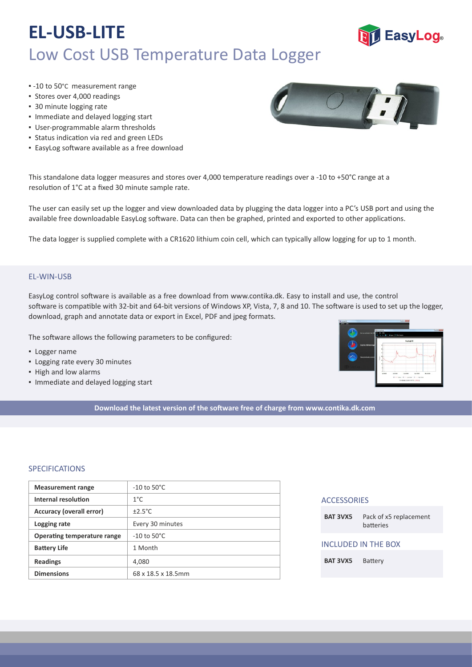# **EL-USB-LITE** Low Cost USB Temperature Data Logger

- -10 to 50°C measurement range
- Stores over 4,000 readings
- 30 minute logging rate
- Immediate and delayed logging start
- User‐programmable alarm thresholds
- **·** Status indication via red and green LEDs
- **EasyLog software available as a free download**

This standalone data logger measures and stores over 4,000 temperature readings over a -10 to +50°C range at a resolution of 1°C at a fixed 30 minute sample rate.

The user can easily set up the logger and view downloaded data by plugging the data logger into a PC's USB port and using the available free downloadable EasyLog software. Data can then be graphed, printed and exported to other applications.

The data logger is supplied complete with a CR1620 lithium coin cell, which can typically allow logging for up to 1 month.

### EL‐WIN‐USB

EasyLog control so�ware is available as a free download from www.contika.dk. Easy to install and use, the control software is compatible with 32-bit and 64-bit versions of Windows XP, Vista, 7, 8 and 10. The software is used to set up the logger, download, graph and annotate data or export in Excel, PDF and jpeg formats.

The software allows the following parameters to be configured:

- **·** Logger name
- Logging rate every 30 minutes
- High and low alarms
- Immediate and delayed logging start

**Download the latest version of the so�ware free of charge from www.contika.dk.com**

### SPECIFICATIONS

| <b>Measurement range</b>           | $-10$ to $50^{\circ}$ C |
|------------------------------------|-------------------------|
| Internal resolution                | $1^{\circ}$ C           |
| Accuracy (overall error)           | $\pm 2.5^{\circ}$ C     |
| Logging rate                       | Every 30 minutes        |
| <b>Operating temperature range</b> | $-10$ to $50^{\circ}$ C |
| <b>Battery Life</b>                | 1 Month                 |
| <b>Readings</b>                    | 4,080                   |
| <b>Dimensions</b>                  | 68 x 18.5 x 18.5mm      |

| <b>ACCESSORIES</b> |                                     |
|--------------------|-------------------------------------|
| <b>BAT 3VX5</b>    | Pack of x5 replacement<br>hatteries |
|                    | INCLUDED IN THE BOX                 |
| <b>BAT 3VX5</b>    | <b>Battery</b>                      |